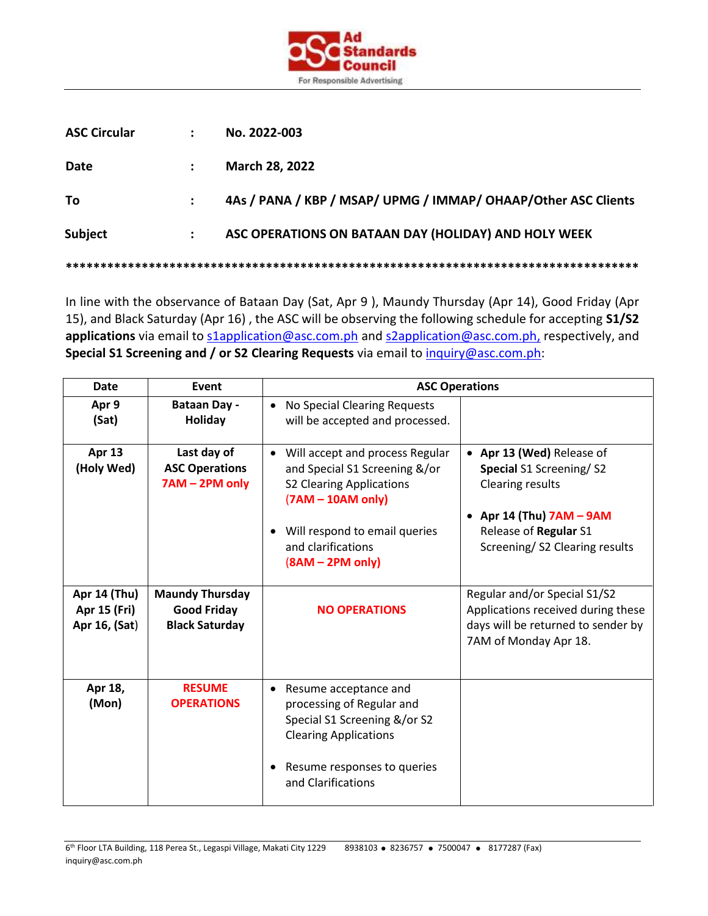

| <b>ASC Circular</b> |                      | No. 2022-003                                                   |  |  |
|---------------------|----------------------|----------------------------------------------------------------|--|--|
| Date                |                      | March 28, 2022                                                 |  |  |
| To                  |                      | 4As / PANA / KBP / MSAP/ UPMG / IMMAP/ OHAAP/Other ASC Clients |  |  |
| Subject             | $\ddot{\phantom{a}}$ | ASC OPERATIONS ON BATAAN DAY (HOLIDAY) AND HOLY WEEK           |  |  |
|                     |                      |                                                                |  |  |

In line with the observance of Bataan Day (Sat, Apr 9 ), Maundy Thursday (Apr 14), Good Friday (Apr 15), and Black Saturday (Apr 16) , the ASC will be observing the following schedule for accepting **S1/S2**  applications via email to slapplication@asc.com.ph and slapplication@asc.com.ph, respectively, and **Special S1 Screening and / or S2 Clearing Requests** via email to [inquiry@asc.com.ph:](mailto:inquiry@asc.com.ph)

| <b>Date</b>                                   | Event                                                                 | <b>ASC Operations</b>                                                                                                                                                                                                     |                                                                                                                                                                         |  |
|-----------------------------------------------|-----------------------------------------------------------------------|---------------------------------------------------------------------------------------------------------------------------------------------------------------------------------------------------------------------------|-------------------------------------------------------------------------------------------------------------------------------------------------------------------------|--|
| Apr 9<br>(Sat)                                | <b>Bataan Day -</b><br><b>Holiday</b>                                 | No Special Clearing Requests<br>$\bullet$<br>will be accepted and processed.                                                                                                                                              |                                                                                                                                                                         |  |
| Apr 13<br>(Holy Wed)                          | Last day of<br><b>ASC Operations</b><br>7AM - 2PM only                | Will accept and process Regular<br>$\bullet$<br>and Special S1 Screening &/or<br><b>S2 Clearing Applications</b><br>$(7AM - 10AM only)$<br>Will respond to email queries<br>٠<br>and clarifications<br>$(8AM - 2PM only)$ | • Apr 13 (Wed) Release of<br>Special S1 Screening/S2<br><b>Clearing results</b><br>• Apr 14 (Thu) $7AM - 9AM$<br>Release of Regular S1<br>Screening/S2 Clearing results |  |
| Apr 14 (Thu)<br>Apr 15 (Fri)<br>Apr 16, (Sat) | <b>Maundy Thursday</b><br><b>Good Friday</b><br><b>Black Saturday</b> | <b>NO OPERATIONS</b>                                                                                                                                                                                                      | Regular and/or Special S1/S2<br>Applications received during these<br>days will be returned to sender by<br>7AM of Monday Apr 18.                                       |  |
| Apr 18,<br>(Mon)                              | <b>RESUME</b><br><b>OPERATIONS</b>                                    | Resume acceptance and<br>$\bullet$<br>processing of Regular and<br>Special S1 Screening &/or S2<br><b>Clearing Applications</b><br>Resume responses to queries<br>and Clarifications                                      |                                                                                                                                                                         |  |